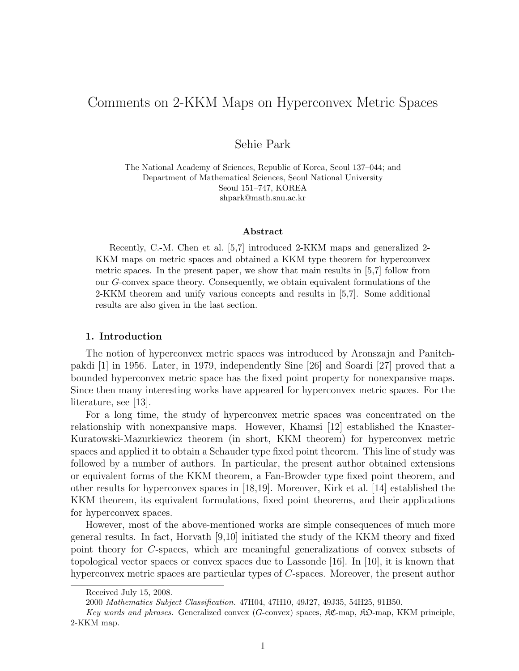# Comments on 2-KKM Maps on Hyperconvex Metric Spaces

Sehie Park

The National Academy of Sciences, Republic of Korea, Seoul 137–044; and Department of Mathematical Sciences, Seoul National University Seoul 151–747, KOREA shpark@math.snu.ac.kr

#### Abstract

Recently, C.-M. Chen et al. [5,7] introduced 2-KKM maps and generalized 2- KKM maps on metric spaces and obtained a KKM type theorem for hyperconvex metric spaces. In the present paper, we show that main results in [5,7] follow from our G-convex space theory. Consequently, we obtain equivalent formulations of the 2-KKM theorem and unify various concepts and results in [5,7]. Some additional results are also given in the last section.

### 1. Introduction

The notion of hyperconvex metric spaces was introduced by Aronszajn and Panitchpakdi [1] in 1956. Later, in 1979, independently Sine [26] and Soardi [27] proved that a bounded hyperconvex metric space has the fixed point property for nonexpansive maps. Since then many interesting works have appeared for hyperconvex metric spaces. For the literature, see [13].

For a long time, the study of hyperconvex metric spaces was concentrated on the relationship with nonexpansive maps. However, Khamsi [12] established the Knaster-Kuratowski-Mazurkiewicz theorem (in short, KKM theorem) for hyperconvex metric spaces and applied it to obtain a Schauder type fixed point theorem. This line of study was followed by a number of authors. In particular, the present author obtained extensions or equivalent forms of the KKM theorem, a Fan-Browder type fixed point theorem, and other results for hyperconvex spaces in [18,19]. Moreover, Kirk et al. [14] established the KKM theorem, its equivalent formulations, fixed point theorems, and their applications for hyperconvex spaces.

However, most of the above-mentioned works are simple consequences of much more general results. In fact, Horvath [9,10] initiated the study of the KKM theory and fixed point theory for C-spaces, which are meaningful generalizations of convex subsets of topological vector spaces or convex spaces due to Lassonde [16]. In [10], it is known that hyperconvex metric spaces are particular types of C-spaces. Moreover, the present author

Received July 15, 2008.

<sup>2000</sup> Mathematics Subject Classification. 47H04, 47H10, 49J27, 49J35, 54H25, 91B50.

Key words and phrases. Generalized convex (G-convex) spaces,  $\Re\mathfrak{C}$ -map,  $\Re\mathfrak{O}$ -map, KKM principle, 2-KKM map.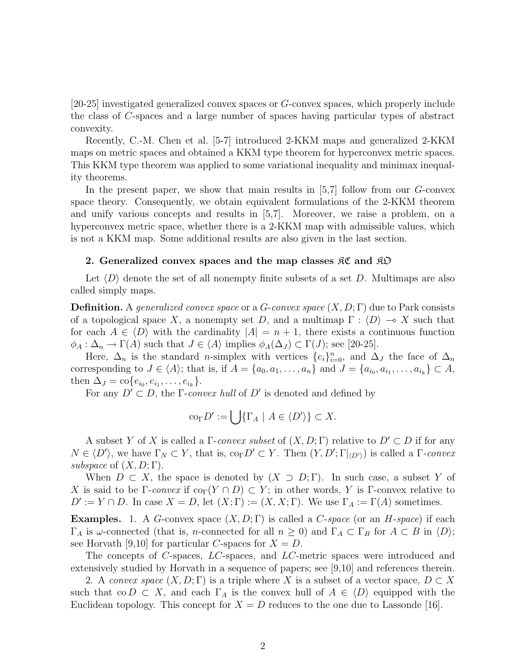[20-25] investigated generalized convex spaces or G-convex spaces, which properly include the class of C-spaces and a large number of spaces having particular types of abstract convexity.

Recently, C.-M. Chen et al. [5-7] introduced 2-KKM maps and generalized 2-KKM maps on metric spaces and obtained a KKM type theorem for hyperconvex metric spaces. This KKM type theorem was applied to some variational inequality and minimax inequality theorems.

In the present paper, we show that main results in  $[5,7]$  follow from our G-convex space theory. Consequently, we obtain equivalent formulations of the 2-KKM theorem and unify various concepts and results in [5,7]. Moreover, we raise a problem, on a hyperconvex metric space, whether there is a 2-KKM map with admissible values, which is not a KKM map. Some additional results are also given in the last section.

### 2. Generalized convex spaces and the map classes  $\mathcal{RC}$  and  $\mathcal{RD}$

Let  $\langle D \rangle$  denote the set of all nonempty finite subsets of a set D. Multimaps are also called simply maps.

**Definition.** A generalized convex space or a  $G$ -convex space  $(X, D; \Gamma)$  due to Park consists of a topological space X, a nonempty set D, and a multimap  $\Gamma : \langle D \rangle \to X$  such that for each  $A \in \langle D \rangle$  with the cardinality  $|A| = n + 1$ , there exists a continuous function  $\phi_A : \Delta_n \to \Gamma(A)$  such that  $J \in \langle A \rangle$  implies  $\phi_A(\Delta_J) \subset \Gamma(J)$ ; see [20-25].

Here,  $\Delta_n$  is the standard *n*-simplex with vertices  $\{e_i\}_{i=0}^n$ , and  $\Delta_j$  the face of  $\Delta_n$ corresponding to  $J \in \langle A \rangle$ ; that is, if  $A = \{a_0, a_1, \ldots, a_n\}$  and  $J = \{a_{i_0}, a_{i_1}, \ldots, a_{i_k}\} \subset A$ , then  $\Delta_J = \text{co}\{e_{i_0}, e_{i_1}, \dots, e_{i_k}\}.$ 

For any  $D' \subset D$ , the Γ-convex hull of D' is denoted and defined by

$$
co_{\Gamma} D' := \bigcup \{ \Gamma_A \mid A \in \langle D' \rangle \} \subset X.
$$

A subset Y of X is called a  $\Gamma$ -convex subset of  $(X, D; \Gamma)$  relative to  $D' \subset D$  if for any  $N \in \langle D' \rangle$ , we have  $\Gamma_N \subset Y$ , that is,  $\text{co}_{\Gamma} D' \subset Y$ . Then  $(Y, D'; \Gamma|_{\langle D' \rangle})$  is called a  $\Gamma$ -convex subspace of  $(X, D; \Gamma)$ .

When  $D \subset X$ , the space is denoted by  $(X \supset D; \Gamma)$ . In such case, a subset Y of X is said to be Γ-convex if  $\text{co}_{\Gamma}(Y \cap D) \subset Y$ ; in other words, Y is Γ-convex relative to  $D' := Y \cap D$ . In case  $X = D$ , let  $(X; \Gamma) := (X, X; \Gamma)$ . We use  $\Gamma_A := \Gamma(A)$  sometimes.

**Examples.** 1. A G-convex space  $(X, D; \Gamma)$  is called a C-space (or an H-space) if each  $\Gamma_A$  is  $\omega$ -connected (that is, *n*-connected for all  $n \geq 0$ ) and  $\Gamma_A \subset \Gamma_B$  for  $A \subset B$  in  $\langle D \rangle$ ; see Horvath [9,10] for particular C-spaces for  $X = D$ .

The concepts of C-spaces, LC-spaces, and LC-metric spaces were introduced and extensively studied by Horvath in a sequence of papers; see [9,10] and references therein.

2. A convex space  $(X, D; \Gamma)$  is a triple where X is a subset of a vector space,  $D \subset X$ such that co  $D \subset X$ , and each  $\Gamma_A$  is the convex hull of  $A \in \langle D \rangle$  equipped with the Euclidean topology. This concept for  $X = D$  reduces to the one due to Lassonde [16].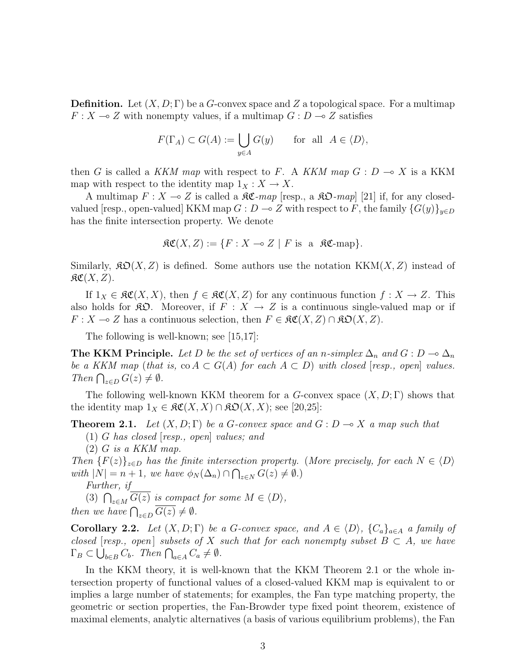**Definition.** Let  $(X, D; \Gamma)$  be a G-convex space and Z a topological space. For a multimap  $F: X \longrightarrow Z$  with nonempty values, if a multimap  $G: D \longrightarrow Z$  satisfies

$$
F(\Gamma_A) \subset G(A) := \bigcup_{y \in A} G(y) \quad \text{for all } A \in \langle D \rangle,
$$

then G is called a KKM map with respect to F. A KKM map  $G : D \to X$  is a KKM map with respect to the identity map  $1_X : X \to X$ .

A multimap  $F: X \to Z$  is called a  $\mathcal{RC}$ -map [resp., a  $\mathcal{RD}$ -map] [21] if, for any closedvalued [resp., open-valued] KKM map  $G: D \to Z$  with respect to F, the family  ${G(y)}_{y\in D}$ has the finite intersection property. We denote

$$
\mathfrak{RC}(X,Z) := \{ F : X \multimap Z \mid F \text{ is a } \mathfrak{RC}\text{-map} \}.
$$

Similarly,  $\mathfrak{SO}(X,Z)$  is defined. Some authors use the notation KKM $(X,Z)$  instead of  $\mathfrak{RC}(X,Z).$ 

If  $1_X \in \mathfrak{RC}(X,X)$ , then  $f \in \mathfrak{RC}(X,Z)$  for any continuous function  $f : X \to Z$ . This also holds for  $\mathfrak{K}\mathfrak{O}$ . Moreover, if  $F : X \to Z$  is a continuous single-valued map or if  $F: X \to Z$  has a continuous selection, then  $F \in \mathcal{RC}(X, Z) \cap \mathcal{RD}(X, Z)$ .

The following is well-known; see [15,17]:

The KKM Principle. Let D be the set of vertices of an n-simplex  $\Delta_n$  and  $G: D \to \Delta_n$ be a KKM map (that is, co  $A \subset G(A)$  for each  $A \subset D$ ) with closed [resp., open] values.  $\lim_{z \to D} G(z) \neq \emptyset$ .

The following well-known KKM theorem for a G-convex space  $(X, D; \Gamma)$  shows that the identity map  $1_X \in \mathfrak{RC}(X,X) \cap \mathfrak{KO}(X,X)$ ; see [20,25]:

**Theorem 2.1.** Let  $(X, D; \Gamma)$  be a G-convex space and  $G: D \to X$  a map such that

 $(1)$  G has closed (resp., open) values; and

 $(2)$  G is a KKM map.

Then  ${F(z)}_{z\in D}$  has the finite intersection property. (More precisely, for each  $N \in \langle D \rangle$ with  $|N| = n + 1$ , we have  $\phi_N(\Delta_n) \cap \bigcap_{z \in N} G(z) \neq \emptyset$ .)

Further, if

Further,  $y$ <br>(3)  $\bigcap_{z \in M} \overline{G(z)}$  is compact for some  $M \in \langle D \rangle$ , then we have  $\bigcap_{z \in D} \overline{G(z)} \neq \emptyset$ .

**Corollary 2.2.** Let  $(X, D; \Gamma)$  be a G-convex space, and  $A \in \langle D \rangle$ ,  $\{C_a\}_{a \in A}$  a family of closed [resp., open] subsets of X such that for each nonempty subset  $B \subset A$ , we have ciosea [resp., open] subsets of  $X$  is<br> $\Gamma_B \subset \bigcup_{b \in B} C_b$ . Then  $\bigcap_{a \in A} C_a \neq \emptyset$ .

In the KKM theory, it is well-known that the KKM Theorem 2.1 or the whole intersection property of functional values of a closed-valued KKM map is equivalent to or implies a large number of statements; for examples, the Fan type matching property, the geometric or section properties, the Fan-Browder type fixed point theorem, existence of maximal elements, analytic alternatives (a basis of various equilibrium problems), the Fan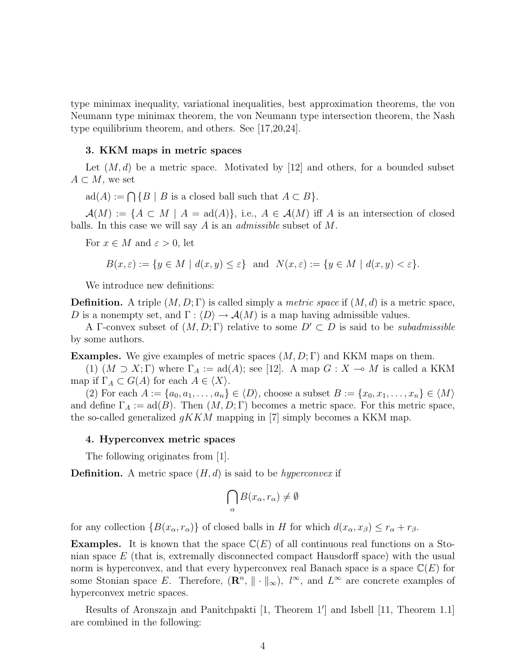type minimax inequality, variational inequalities, best approximation theorems, the von Neumann type minimax theorem, the von Neumann type intersection theorem, the Nash type equilibrium theorem, and others. See [17,20,24].

### 3. KKM maps in metric spaces

Let  $(M, d)$  be a metric space. Motivated by [12] and others, for a bounded subset  $A \subset M$ , we set

 $ad(A) := \bigcap \{B \mid B \text{ is a closed ball such that } A \subset B\}.$ 

 $\mathcal{A}(M) := \{A \subset M \mid A = \text{ad}(A)\},$  i.e.,  $A \in \mathcal{A}(M)$  iff A is an intersection of closed balls. In this case we will say  $A$  is an *admissible* subset of  $M$ .

For  $x \in M$  and  $\varepsilon > 0$ , let

$$
B(x,\varepsilon) := \{ y \in M \mid d(x,y) \le \varepsilon \} \text{ and } N(x,\varepsilon) := \{ y \in M \mid d(x,y) < \varepsilon \}.
$$

We introduce new definitions:

**Definition.** A triple  $(M, D; \Gamma)$  is called simply a *metric space* if  $(M, d)$  is a metric space, D is a nonempty set, and  $\Gamma: \langle D \rangle \to \mathcal{A}(M)$  is a map having admissible values.

A Γ-convex subset of  $(M, D; \Gamma)$  relative to some  $D' \subset D$  is said to be *subadmissible* by some authors.

**Examples.** We give examples of metric spaces  $(M, D; \Gamma)$  and KKM maps on them.

(1)  $(M \supset X; \Gamma)$  where  $\Gamma_A := \text{ad}(A)$ ; see [12]. A map  $G : X \to M$  is called a KKM map if  $\Gamma_A \subset G(A)$  for each  $A \in \langle X \rangle$ .

(2) For each  $A := \{a_0, a_1, \ldots, a_n\} \in \langle D \rangle$ , choose a subset  $B := \{x_0, x_1, \ldots, x_n\} \in \langle M \rangle$ and define  $\Gamma_A := \text{ad}(B)$ . Then  $(M, D; \Gamma)$  becomes a metric space. For this metric space, the so-called generalized  $gKKM$  mapping in [7] simply becomes a KKM map.

#### 4. Hyperconvex metric spaces

The following originates from [1].

**Definition.** A metric space  $(H, d)$  is said to be *hyperconvex* if

$$
\bigcap_{\alpha} B(x_{\alpha}, r_{\alpha}) \neq \emptyset
$$

for any collection  $\{B(x_\alpha, r_\alpha)\}\$  of closed balls in H for which  $d(x_\alpha, x_\beta) \leq r_\alpha + r_\beta$ .

**Examples.** It is known that the space  $\mathbb{C}(E)$  of all continuous real functions on a Stonian space E (that is, extremally disconnected compact Hausdorff space) with the usual norm is hyperconvex, and that every hyperconvex real Banach space is a space  $\mathbb{C}(E)$  for some Stonian space E. Therefore,  $(\mathbb{R}^n, \| \cdot \|_{\infty})$ ,  $l^{\infty}$ , and  $L^{\infty}$  are concrete examples of hyperconvex metric spaces.

Results of Aronszajn and Panitchpakti [1, Theorem 1'] and Isbell [11, Theorem 1.1] are combined in the following: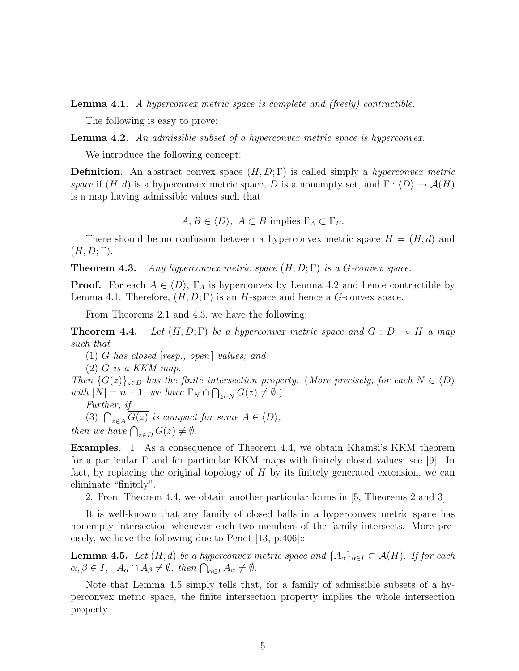Lemma 4.1. A hyperconvex metric space is complete and (freely) contractible.

The following is easy to prove:

**Lemma 4.2.** An admissible subset of a hyperconvex metric space is hyperconvex.

We introduce the following concept:

**Definition.** An abstract convex space  $(H, D; \Gamma)$  is called simply a *hyperconvex metric* space if  $(H, d)$  is a hyperconvex metric space, D is a nonempty set, and  $\Gamma : \langle D \rangle \to \mathcal{A}(H)$ is a map having admissible values such that

 $A, B \in \langle D \rangle$ ,  $A \subset B$  implies  $\Gamma_A \subset \Gamma_B$ .

There should be no confusion between a hyperconvex metric space  $H = (H, d)$  and  $(H, D; \Gamma).$ 

**Theorem 4.3.** Any hyperconvex metric space  $(H, D; \Gamma)$  is a G-convex space.

**Proof.** For each  $A \in \langle D \rangle$ ,  $\Gamma_A$  is hyperconvex by Lemma 4.2 and hence contractible by Lemma 4.1. Therefore,  $(H, D; \Gamma)$  is an H-space and hence a G-convex space.

From Theorems 2.1 and 4.3, we have the following:

**Theorem 4.4.** Let  $(H, D; \Gamma)$  be a hyperconvex metric space and  $G : D \multimap H$  a map such that

 $(1)$  G has closed [resp., open] values; and

 $(2)$  G is a KKM map.

Then  $\{G(z)\}_{z\in D}$  has the finite intersection property. (More precisely, for each  $N \in \langle D \rangle$ with  $|N| = n + 1$ , we have  $\Gamma_N \cap \bigcap_{z \in N} G(z) \neq \emptyset$ .)

Further, if<br>
(3)  $\bigcap_{z \in A} \overline{G(z)}$  is compact for some  $A \in \langle D \rangle$ ,<br>
then we have  $\bigcap_{z \in D} \overline{G(z)} \neq \emptyset$ .

Examples. 1. As a consequence of Theorem 4.4, we obtain Khamsi's KKM theorem for a particular  $\Gamma$  and for particular KKM maps with finitely closed values; see [9]. In fact, by replacing the original topology of H by its finitely generated extension, we can eliminate "finitely".

2. From Theorem 4.4, we obtain another particular forms in [5, Theorems 2 and 3].

It is well-known that any family of closed balls in a hyperconvex metric space has nonempty intersection whenever each two members of the family intersects. More precisely, we have the following due to Penot  $|13, p.406|$ :

**Lemma 4.5.** Let  $(H, d)$  be a hyperconvex metric space and  $\{A_{\alpha}\}_{{\alpha}\in I} \subset \mathcal{A}(H)$ . If for each **Lemma 4.5.** Let  $(H, a)$  be a hyperconvex r<br>  $\alpha, \beta \in I$ ,  $A_{\alpha} \cap A_{\beta} \neq \emptyset$ , then  $\bigcap_{\alpha \in I} A_{\alpha} \neq \emptyset$ .

Note that Lemma 4.5 simply tells that, for a family of admissible subsets of a hyperconvex metric space, the finite intersection property implies the whole intersection property.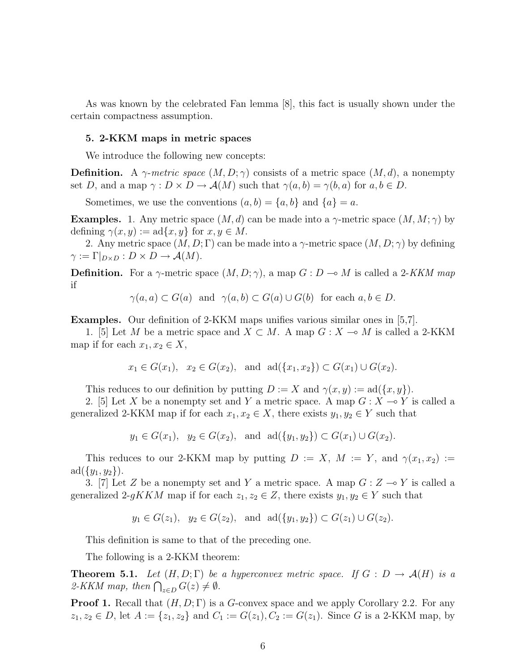As was known by the celebrated Fan lemma [8], this fact is usually shown under the certain compactness assumption.

### 5. 2-KKM maps in metric spaces

We introduce the following new concepts:

**Definition.** A  $\gamma$ -metric space  $(M, D; \gamma)$  consists of a metric space  $(M, d)$ , a nonempty set D, and a map  $\gamma: D \times D \to \mathcal{A}(M)$  such that  $\gamma(a, b) = \gamma(b, a)$  for  $a, b \in D$ .

Sometimes, we use the conventions  $(a, b) = \{a, b\}$  and  $\{a\} = a$ .

**Examples.** 1. Any metric space  $(M, d)$  can be made into a  $\gamma$ -metric space  $(M, M; \gamma)$  by defining  $\gamma(x, y) := \text{ad}\{x, y\}$  for  $x, y \in M$ .

2. Any metric space  $(M, D; \Gamma)$  can be made into a  $\gamma$ -metric space  $(M, D; \gamma)$  by defining  $\gamma := \Gamma|_{D \times D} : D \times D \to \mathcal{A}(M).$ 

**Definition.** For a  $\gamma$ -metric space  $(M, D; \gamma)$ , a map  $G: D \to M$  is called a 2-KKM map if

$$
\gamma(a, a) \subset G(a)
$$
 and  $\gamma(a, b) \subset G(a) \cup G(b)$  for each  $a, b \in D$ .

Examples. Our definition of 2-KKM maps unifies various similar ones in [5,7].

1. [5] Let M be a metric space and  $X \subset M$ . A map  $G : X \to M$  is called a 2-KKM map if for each  $x_1, x_2 \in X$ ,

$$
x_1 \in G(x_1), x_2 \in G(x_2), \text{ and } ad({x_1, x_2}) \subset G(x_1) \cup G(x_2).
$$

This reduces to our definition by putting  $D := X$  and  $\gamma(x, y) := \text{ad}(\{x, y\}).$ 

2. [5] Let X be a nonempty set and Y a metric space. A map  $G: X \to Y$  is called a generalized 2-KKM map if for each  $x_1, x_2 \in X$ , there exists  $y_1, y_2 \in Y$  such that

 $y_1 \in G(x_1)$ ,  $y_2 \in G(x_2)$ , and  $\text{ad}(\{y_1, y_2\}) \subset G(x_1) \cup G(x_2)$ .

This reduces to our 2-KKM map by putting  $D := X$ ,  $M := Y$ , and  $\gamma(x_1, x_2) :=$  $ad({y_1, y_2}).$ 

3. [7] Let Z be a nonempty set and Y a metric space. A map  $G: Z \rightarrow Y$  is called a generalized 2-gKKM map if for each  $z_1, z_2 \in Z$ , there exists  $y_1, y_2 \in Y$  such that

$$
y_1 \in G(z_1), y_2 \in G(z_2), \text{ and } ad({y_1, y_2}) \subset G(z_1) \cup G(z_2).
$$

This definition is same to that of the preceding one.

The following is a 2-KKM theorem:

**Theorem 5.1.** Let  $(H, D; \Gamma)$  be a hyperconvex metric space. If  $G : D \to \mathcal{A}(H)$  is a **Theorem 3.1.** Let  $(H, D; I)$  be<br>2-KKM map, then  $\bigcap_{z \in D} G(z) \neq \emptyset$ .

**Proof 1.** Recall that  $(H, D; \Gamma)$  is a G-convex space and we apply Corollary 2.2. For any  $z_1, z_2 \in D$ , let  $A := \{z_1, z_2\}$  and  $C_1 := G(z_1), C_2 := G(z_1)$ . Since G is a 2-KKM map, by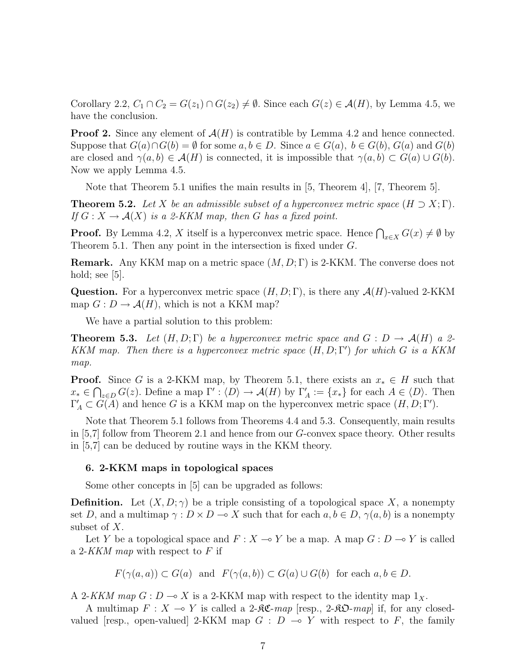Corollary 2.2,  $C_1 \cap C_2 = G(z_1) \cap G(z_2) \neq \emptyset$ . Since each  $G(z) \in \mathcal{A}(H)$ , by Lemma 4.5, we have the conclusion.

**Proof 2.** Since any element of  $\mathcal{A}(H)$  is contratible by Lemma 4.2 and hence connected. Suppose that  $G(a) \cap G(b) = \emptyset$  for some  $a, b \in D$ . Since  $a \in G(a)$ ,  $b \in G(b)$ ,  $G(a)$  and  $G(b)$ are closed and  $\gamma(a, b) \in \mathcal{A}(H)$  is connected, it is impossible that  $\gamma(a, b) \subset G(a) \cup G(b)$ . Now we apply Lemma 4.5.

Note that Theorem 5.1 unifies the main results in [5, Theorem 4], [7, Theorem 5].

**Theorem 5.2.** Let X be an admissible subset of a hyperconvex metric space  $(H \supset X; \Gamma)$ . If  $G: X \to \mathcal{A}(X)$  is a 2-KKM map, then G has a fixed point.

**Proof.** By Lemma 4.2, X itself is a hyperconvex metric space. Hence  $\bigcap_{x\in X} G(x) \neq \emptyset$  by Theorem 5.1. Then any point in the intersection is fixed under G.

**Remark.** Any KKM map on a metric space  $(M, D; \Gamma)$  is 2-KKM. The converse does not hold; see  $[5]$ .

**Question.** For a hyperconvex metric space  $(H, D; \Gamma)$ , is there any  $\mathcal{A}(H)$ -valued 2-KKM map  $G: D \to \mathcal{A}(H)$ , which is not a KKM map?

We have a partial solution to this problem:

**Theorem 5.3.** Let  $(H, D; \Gamma)$  be a hyperconvex metric space and  $G: D \to \mathcal{A}(H)$  a 2-KKM map. Then there is a hyperconvex metric space  $(H, D; \Gamma')$  for which G is a KKM map.

**Proof.** Since G is a 2-KKM map, by Theorem 5.1, there exists an  $x_* \in H$  such that  $x_* \in \bigcap_{z \in D} G(z)$ . Define a map  $\Gamma' : \langle D \rangle \to \mathcal{A}(H)$  by  $\Gamma'_A := \{x_*\}$  for each  $A \in \langle D \rangle$ . Then  $\Gamma'_A \subset G(A)$  and hence G is a KKM map on the hyperconvex metric space  $(H, D; \Gamma').$ 

Note that Theorem 5.1 follows from Theorems 4.4 and 5.3. Consequently, main results in [5,7] follow from Theorem 2.1 and hence from our  $G$ -convex space theory. Other results in [5,7] can be deduced by routine ways in the KKM theory.

## 6. 2-KKM maps in topological spaces

Some other concepts in [5] can be upgraded as follows:

**Definition.** Let  $(X, D; \gamma)$  be a triple consisting of a topological space X, a nonempty set D, and a multimap  $\gamma : D \times D \longrightarrow X$  such that for each  $a, b \in D$ ,  $\gamma(a, b)$  is a nonempty subset of X.

Let Y be a topological space and  $F : X \longrightarrow Y$  be a map. A map  $G : D \longrightarrow Y$  is called a 2-KKM map with respect to  $F$  if

 $F(\gamma(a, a)) \subset G(a)$  and  $F(\gamma(a, b)) \subset G(a) \cup G(b)$  for each  $a, b \in D$ .

A 2-KKM map  $G: D \to X$  is a 2-KKM map with respect to the identity map  $1_X$ .

A multimap  $F: X \to Y$  is called a 2- $\Re \mathfrak{C}$ -map [resp., 2- $\Re \mathfrak{D}$ -map] if, for any closedvalued [resp., open-valued] 2-KKM map  $G : D \multimap Y$  with respect to F, the family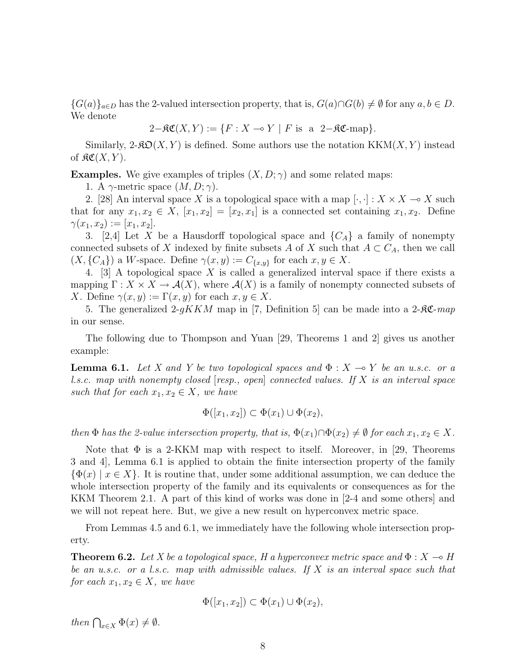${G(a)}_{a\in D}$  has the 2-valued intersection property, that is,  $G(a)\cap G(b) \neq \emptyset$  for any  $a, b \in D$ . We denote

$$
2-\mathfrak{RC}(X,Y) := \{ F : X \multimap Y \mid F \text{ is a } 2-\mathfrak{RC}\text{-map} \}.
$$

Similarly,  $2-\mathcal{R} \mathcal{D}(X, Y)$  is defined. Some authors use the notation  $KKM(X, Y)$  instead of  $\mathfrak{RC}(X,Y)$ .

**Examples.** We give examples of triples  $(X, D; \gamma)$  and some related maps:

1. A  $\gamma$ -metric space  $(M, D; \gamma)$ .

2. [28] An interval space X is a topological space with a map  $[\cdot, \cdot] : X \times X \longrightarrow X$  such that for any  $x_1, x_2 \in X$ ,  $[x_1, x_2] = [x_2, x_1]$  is a connected set containing  $x_1, x_2$ . Define  $\gamma(x_1, x_2) := [x_1, x_2].$ 

3. [2,4] Let X be a Hausdorff topological space and  $\{C_A\}$  a family of nonempty connected subsets of X indexed by finite subsets A of X such that  $A \subset C_A$ , then we call  $(X, {C_A})$  a W-space. Define  $\gamma(x, y) := C_{\{x, y\}}$  for each  $x, y \in X$ .

4. [3] A topological space X is called a generalized interval space if there exists a mapping  $\Gamma: X \times X \to \mathcal{A}(X)$ , where  $\mathcal{A}(X)$  is a family of nonempty connected subsets of X. Define  $\gamma(x, y) := \Gamma(x, y)$  for each  $x, y \in X$ .

5. The generalized 2-gKKM map in [7, Definition 5] can be made into a 2- $\mathcal{RC}$ -map in our sense.

The following due to Thompson and Yuan [29, Theorems 1 and 2] gives us another example:

**Lemma 6.1.** Let X and Y be two topological spaces and  $\Phi : X \to Y$  be an u.s.c. or a l.s.c. map with nonempty closed  $[resp., open]$  connected values. If X is an interval space such that for each  $x_1, x_2 \in X$ , we have

$$
\Phi([x_1, x_2]) \subset \Phi(x_1) \cup \Phi(x_2),
$$

then  $\Phi$  has the 2-value intersection property, that is,  $\Phi(x_1) \cap \Phi(x_2) \neq \emptyset$  for each  $x_1, x_2 \in X$ .

Note that  $\Phi$  is a 2-KKM map with respect to itself. Moreover, in [29, Theorems 3 and 4], Lemma 6.1 is applied to obtain the finite intersection property of the family  ${\{\Phi(x) | x \in X\}}$ . It is routine that, under some additional assumption, we can deduce the whole intersection property of the family and its equivalents or consequences as for the KKM Theorem 2.1. A part of this kind of works was done in [2-4 and some others] and we will not repeat here. But, we give a new result on hyperconvex metric space.

From Lemmas 4.5 and 6.1, we immediately have the following whole intersection property.

**Theorem 6.2.** Let X be a topological space, H a hyperconvex metric space and  $\Phi: X \to H$ be an u.s.c. or a l.s.c. map with admissible values. If  $X$  is an interval space such that for each  $x_1, x_2 \in X$ , we have

$$
\Phi([x_1, x_2]) \subset \Phi(x_1) \cup \Phi(x_2),
$$

then  $\bigcap_{x\in X} \Phi(x) \neq \emptyset$ .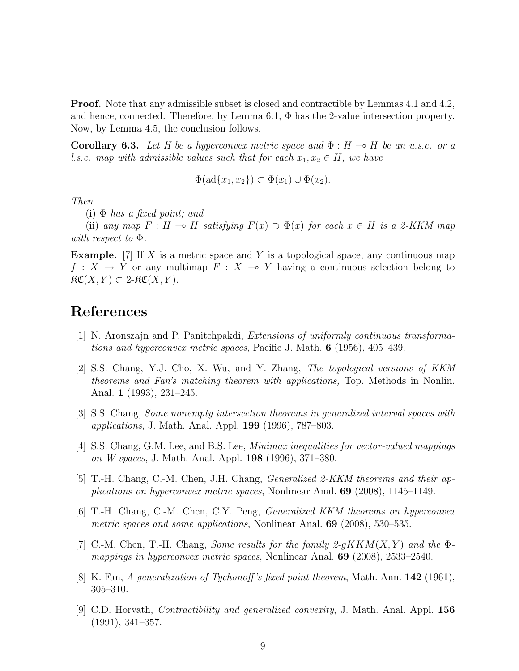Proof. Note that any admissible subset is closed and contractible by Lemmas 4.1 and 4.2, and hence, connected. Therefore, by Lemma 6.1,  $\Phi$  has the 2-value intersection property. Now, by Lemma 4.5, the conclusion follows.

**Corollary 6.3.** Let H be a hyperconvex metric space and  $\Phi : H \to H$  be an u.s.c. or a l.s.c. map with admissible values such that for each  $x_1, x_2 \in H$ , we have

 $\Phi(\text{ad}\{x_1,x_2\}) \subset \Phi(x_1) \cup \Phi(x_2).$ 

Then

(i)  $\Phi$  has a fixed point; and

(ii) any map  $F : H \multimap H$  satisfying  $F(x) \supset \Phi(x)$  for each  $x \in H$  is a 2-KKM map with respect to Φ.

**Example.** [7] If X is a metric space and Y is a topological space, any continuous map  $f: X \to Y$  or any multimap  $F: X \to Y$  having a continuous selection belong to  $\mathfrak{RC}(X, Y) \subset 2\text{-}\mathfrak{RC}(X, Y).$ 

# References

- [1] N. Aronszajn and P. Panitchpakdi, Extensions of uniformly continuous transformations and hyperconvex metric spaces, Pacific J. Math. 6 (1956), 405–439.
- [2] S.S. Chang, Y.J. Cho, X. Wu, and Y. Zhang, The topological versions of KKM theorems and Fan's matching theorem with applications, Top. Methods in Nonlin. Anal. 1 (1993), 231–245.
- [3] S.S. Chang, Some nonempty intersection theorems in generalized interval spaces with applications, J. Math. Anal. Appl. 199 (1996), 787–803.
- [4] S.S. Chang, G.M. Lee, and B.S. Lee, Minimax inequalities for vector-valued mappings on W-spaces, J. Math. Anal. Appl. 198 (1996), 371–380.
- [5] T.-H. Chang, C.-M. Chen, J.H. Chang, Generalized 2-KKM theorems and their applications on hyperconvex metric spaces, Nonlinear Anal. 69 (2008), 1145–1149.
- [6] T.-H. Chang, C.-M. Chen, C.Y. Peng, Generalized KKM theorems on hyperconvex metric spaces and some applications, Nonlinear Anal. **69** (2008), 530–535.
- [7] C.-M. Chen, T.-H. Chang, Some results for the family  $2-qKKM(X, Y)$  and the  $\Phi$ mappings in hyperconvex metric spaces, Nonlinear Anal. 69 (2008), 2533–2540.
- [8] K. Fan, A generalization of Tychonoff's fixed point theorem, Math. Ann. 142 (1961), 305–310.
- [9] C.D. Horvath, Contractibility and generalized convexity, J. Math. Anal. Appl. 156 (1991), 341–357.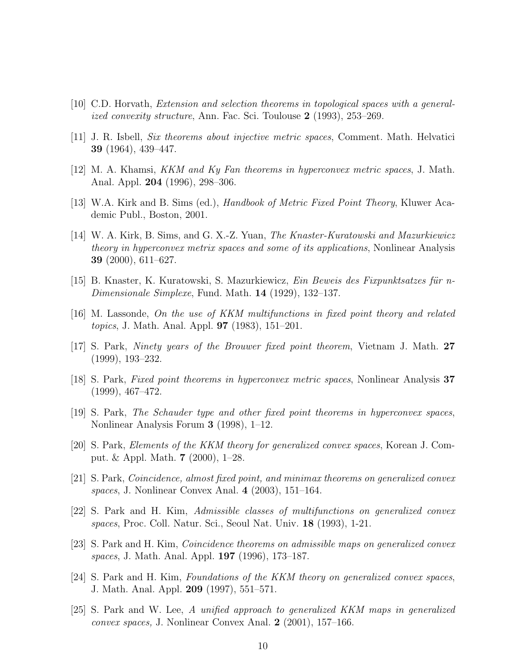- [10] C.D. Horvath, Extension and selection theorems in topological spaces with a generalized convexity structure, Ann. Fac. Sci. Toulouse 2 (1993), 253–269.
- [11] J. R. Isbell, Six theorems about injective metric spaces, Comment. Math. Helvatici 39 (1964), 439–447.
- $[12]$  M. A. Khamsi, *KKM and Ky Fan theorems in hyperconvex metric spaces*, J. Math. Anal. Appl. 204 (1996), 298–306.
- [13] W.A. Kirk and B. Sims (ed.), Handbook of Metric Fixed Point Theory, Kluwer Academic Publ., Boston, 2001.
- [14] W. A. Kirk, B. Sims, and G. X.-Z. Yuan, The Knaster-Kuratowski and Mazurkiewicz theory in hyperconvex metrix spaces and some of its applications, Nonlinear Analysis 39 (2000), 611–627.
- $[15]$  B. Knaster, K. Kuratowski, S. Mazurkiewicz, *Ein Beweis des Fixpunktsatzes für n*-Dimensionale Simplexe, Fund. Math. 14 (1929), 132–137.
- [16] M. Lassonde, On the use of KKM multifunctions in fixed point theory and related topics, J. Math. Anal. Appl. 97 (1983), 151–201.
- [17] S. Park, Ninety years of the Brouwer fixed point theorem, Vietnam J. Math. 27 (1999), 193–232.
- [18] S. Park, Fixed point theorems in hyperconvex metric spaces, Nonlinear Analysis 37 (1999), 467–472.
- [19] S. Park, The Schauder type and other fixed point theorems in hyperconvex spaces, Nonlinear Analysis Forum 3 (1998), 1–12.
- [20] S. Park, Elements of the KKM theory for generalized convex spaces, Korean J. Comput. & Appl. Math. 7 (2000), 1–28.
- [21] S. Park, Coincidence, almost fixed point, and minimax theorems on generalized convex spaces, J. Nonlinear Convex Anal. 4 (2003), 151–164.
- [22] S. Park and H. Kim, Admissible classes of multifunctions on generalized convex spaces, Proc. Coll. Natur. Sci., Seoul Nat. Univ. 18 (1993), 1-21.
- [23] S. Park and H. Kim, Coincidence theorems on admissible maps on generalized convex spaces, J. Math. Anal. Appl. 197 (1996), 173–187.
- [24] S. Park and H. Kim, Foundations of the KKM theory on generalized convex spaces, J. Math. Anal. Appl. 209 (1997), 551–571.
- [25] S. Park and W. Lee, A unified approach to generalized KKM maps in generalized convex spaces, J. Nonlinear Convex Anal. 2 (2001), 157–166.